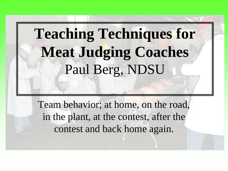# **Teaching Techniques for Meat Judging Coaches** Paul Berg, NDSU

Team behavior; at home, on the road, in the plant, at the contest, after the contest and back home again.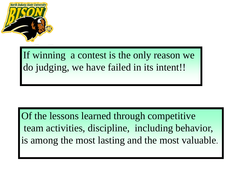

If winning a contest is the only reason we do judging, we have failed in its intent!!

Of the lessons learned through competitive team activities, discipline, including behavior, is among the most lasting and the most valuable.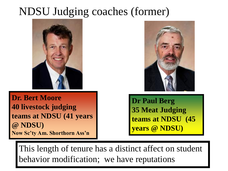## NDSU Judging coaches (former)



**Dr. Bert Moore 40 livestock judging teams at NDSU (41 years @ NDSU) Now Sc'ty Am. Shorthorn Ass'n**



**Dr Paul Berg 35 Meat Judging teams at NDSU (45 years @ NDSU)**

This length of tenure has a distinct affect on student behavior modification; we have reputations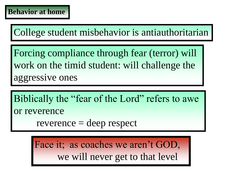College student misbehavior is antiauthoritarian

Forcing compliance through fear (terror) will work on the timid student: will challenge the aggressive ones

Biblically the "fear of the Lord" refers to awe or reverence  $revergence = deep respect$ 

> Face it; as coaches we aren't GOD, we will never get to that level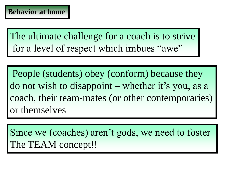The ultimate challenge for a coach is to strive for a level of respect which imbues "awe"

People (students) obey (conform) because they do not wish to disappoint – whether it"s you, as a coach, their team-mates (or other contemporaries) or themselves

Since we (coaches) aren"t gods, we need to foster The TEAM concept!!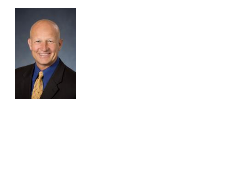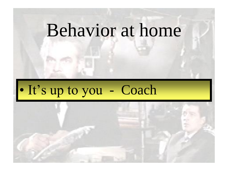# Behavior at home

# • It"s up to you - Coach

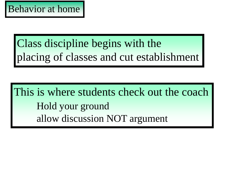## Class discipline begins with the placing of classes and cut establishment

## This is where students check out the coach Hold your ground allow discussion NOT argument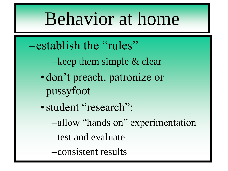# Behavior at home

- –establish the "rules"
	- –keep them simple & clear
	- don't preach, patronize or pussyfoot
	- student "research":
		- –allow "hands on" experimentation
		- –test and evaluate
		- –consistent results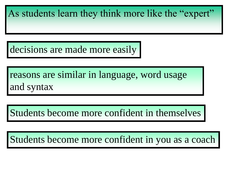## As students learn they think more like the "expert"

decisions are made more easily

reasons are similar in language, word usage and syntax

Students become more confident in themselves

Students become more confident in you as a coach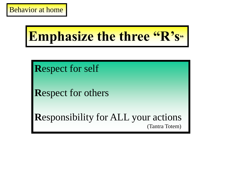# **Emphasize the three "R's"**

**R**espect for self

**R**espect for others

**R**esponsibility for ALL your actions (Tantra Totem)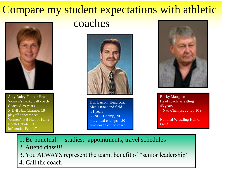## Compare my student expectations with athletic coaches



Amy Ruley Former Head Women"s Basketball coach Coached 29 years 5 D-II Natl Champs, 18 playoff appearances Women"s BB Hall of Fame North Dakota "50 Influential People"



Don Larson, Head coach Men"s track and field 31 years 36 NCC Champ, 20+ individual champs, "50 time coach of the year"



Bucky Maughan Head coach wrestling 45 years 4 Natl Champs; 32 top 10"s

National Wrestling Hall of Fame

- 1. Be punctual: studies; appointments; travel schedules
- 2. Attend class!!!
- 3. You ALWAYS represent the team; benefit of "senior leadership"
- 4. Call the coach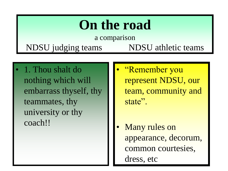a comparison NDSU judging teams NDSU athletic teams

- 1. Thou shalt do nothing which will embarrass thyself, thy teammates, thy university or thy coach!!
- "Remember you represent NDSU, our team, community and state".
- Many rules on appearance, decorum, common courtesies, dress, etc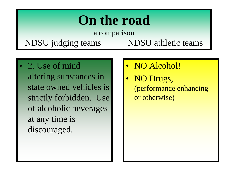a comparison

- 2. Use of mind altering substances in state owned vehicles is strictly forbidden. Use of alcoholic beverages at any time is discouraged.
- NO Alcohol!
	- NO Drugs, (performance enhancing or otherwise)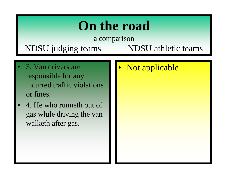## **On the road** a comparison NDSU judging teams NDSU athletic teams • 3. Van drivers are responsible for any incurred traffic violations or fines. • 4. He who runneth out of gas while driving the van walketh after gas. Not applicable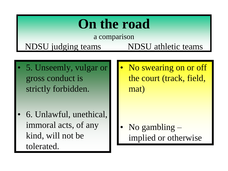## **On the road** a comparison NDSU judging teams NDSU athletic teams

- 5. Unseemly, vulgar or gross conduct is strictly forbidden.
- 6. Unlawful, unethical, immoral acts, of any kind, will not be tolerated.

No swearing on or off the court (track, field, mat)

• No gambling – implied or otherwise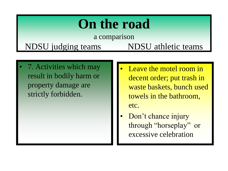## **On the road** a comparison NDSU judging teams NDSU athletic teams

• 7. Activities which may result in bodily harm or property damage are strictly forbidden.

- Leave the motel room in decent order; put trash in waste baskets, bunch used towels in the bathroom, etc.
- Don't chance injury through "horseplay" or excessive celebration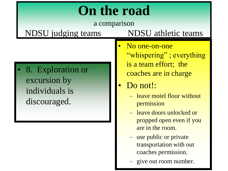### a comparison

NDSU judging teams NDSU athletic teams

8. Exploration or excursion by individuals is discouraged.

No one-on-one "whispering" ; everything is a team effort; the coaches are in charge

### Do not!:

- leave motel floor without permission
- leave doors unlocked or propped open even if you are in the room.
- use public or private transportation with out coaches permission.
- give out room number.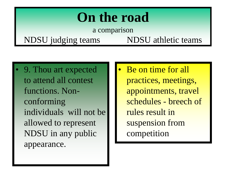a comparison NDSU judging teams NDSU athletic teams

- 9. Thou art expected to attend all contest functions. Nonconforming individuals will not be allowed to represent NDSU in any public appearance.
- Be on time for all practices, meetings, appointments, travel schedules - breech of rules result in suspension from competition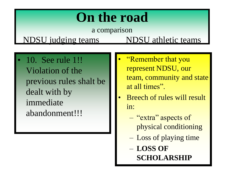a comparison

- 10. See rule 1!! Violation of the previous rules shalt be dealt with by immediate abandonment!!!
- "Remember that you represent NDSU, our team, community and state at all times".
- Breech of rules will result in:
	- "extra" aspects of physical conditioning
	- Loss of playing time
	- **LOSS OF SCHOLARSHIP**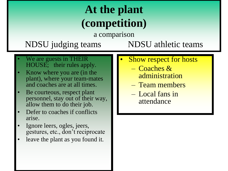## **At the plant (competition)**

a comparison

- We are guests in THEIR HOUSE; their rules apply.
- Know where you are (in the plant), where your team-mates and coaches are at all times.
- Be courteous, respect plant personnel, stay out of their way, allow them to do their job.
- Defer to coaches if conflicts arise.
- Ignore leers, ogles, jeers, gestures, etc., don"t reciprocate
- leave the plant as you found it.
- Show respect for hosts
	- Coaches & administration
	- Team members
	- Local fans in attendance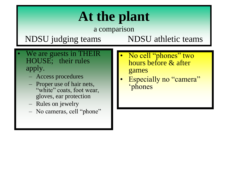# **At the plant**

### a comparison

- We are guests in THEIR HOUSE; their rules apply.
	- Access procedures
	- Proper use of hair nets, "white" coats, foot wear, gloves, ear protection
	- Rules on jewelry
	- No cameras, cell "phone"
- No cell "phones" two hours before & after games
- Especially no "camera" "phones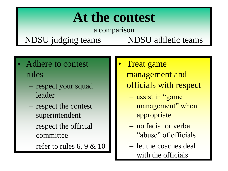# **At the contest**

### a comparison NDSU judging teams NDSU athletic teams

- Adhere to contest rules
	- respect your squad leader
	- respect the contest superintendent
	- respect the official committee
	- refer to rules  $6, 9 & 10$
- Treat game management and officials with respect
	- assist in "game management" when appropriate
	- no facial or verbal "abuse" of officials
	- let the coaches deal with the officials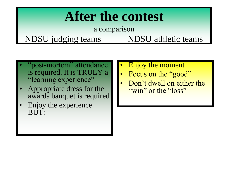# **After the contest**

### a comparison

- "post-mortem" attendance is required. It is TRULY a "learning experience"
- Appropriate dress for the awards banquet is required
- Enjoy the experience BUT:
- Enjoy the moment
- Focus on the "good"
- Don't dwell on either the "win" or the "loss"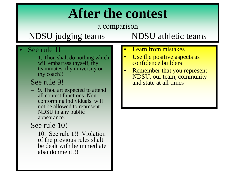# **After the contest**

### a comparison

### NDSU judging teams NDSU athletic teams

### See rule 1!

– 1. Thou shalt do nothing which will embarrass thyself, thy teammates, thy university or thy coach!!

### See rule 9!

– 9. Thou art expected to attend all contest functions. Nonconforming individuals will not be allowed to represent NDSU in any public appearance.

### See rule 10!

– 10. See rule 1!! Violation of the previous rules shalt be dealt with be immediate abandonment!!!

### Learn from mistakes

- Use the positive aspects as confidence builders
- Remember that you represent NDSU, our team, community and state at all times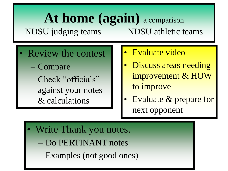# At home (again) a comparison NDSU judging teams NDSU athletic teams

- Review the contest
	- Compare
	- Check "officials" against your notes & calculations
- Evaluate video
- Discuss areas needing improvement & HOW to improve
- Evaluate & prepare for next opponent
- Write Thank you notes.
	- Do PERTINANT notes
	- Examples (not good ones)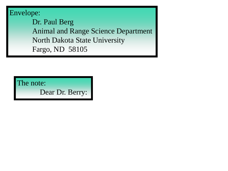### Envelope:

Dr. Paul Berg Animal and Range Science Department North Dakota State University Fargo, ND 58105

The note:

Dear Dr. Berry: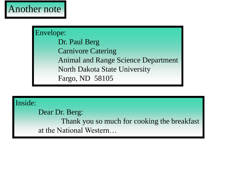### Another note

Envelope: Dr. Paul Berg Carnivore Catering Animal and Range Science Department North Dakota State University Fargo, ND 58105

### Inside:

Dear Dr. Berg: Thank you so much for cooking the breakfast at the National Western…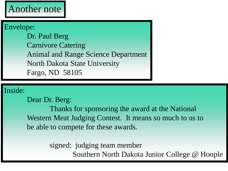## Another note

Envelope:

Dr. Paul Berg Carnivore Catering Animal and Range Science Department North Dakota State University Fargo, ND 58105

### Inside:

Dear Dr. Berg: Thanks for sponsoring the award at the National Western Meat Judging Contest. It means so much to us to be able to compete for these awards.

> signed: judging team member Southern North Dakota Junior College @ Hoople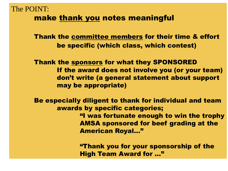### The POINT: make thank you notes meaningful

Thank the committee members for their time & effort be specific (which class, which contest)

Thank the sponsors for what they SPONSORED If the award does not involve you (or your team) don't write (a general statement about support may be appropriate)

Be especially diligent to thank for individual and team awards by specific categories; "I was fortunate enough to win the trophy AMSA sponsored for beef grading at the American Royal…"

> "Thank you for your sponsorship of the High Team Award for …"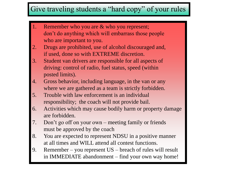### Give traveling students a "hard copy" of your rules

- Remember who you are  $&$  who you represent; don"t do anything which will embarrass those people who are important to you.
- 2. Drugs are prohibited, use of alcohol discouraged and, if used, done so with EXTREME discretion.
- 3. Student van drivers are responsible for all aspects of driving: control of radio, fuel status, speed (within posted limits).
- 4. Gross behavior, including language, in the van or any where we are gathered as a team is strictly forbidden.
- 5. Trouble with law enforcement is an individual responsibility; the coach will not provide bail.
- 6. Activities which may cause bodily harm or property damage are forbidden.
- 7. Don"t go off on your own meeting family or friends must be approved by the coach
- 8. You are expected to represent NDSU in a positive manner at all times and WILL attend all contest functions.
- 9. Remember you represent US breach of rules will result in IMMEDIATE abandonment – find your own way home!